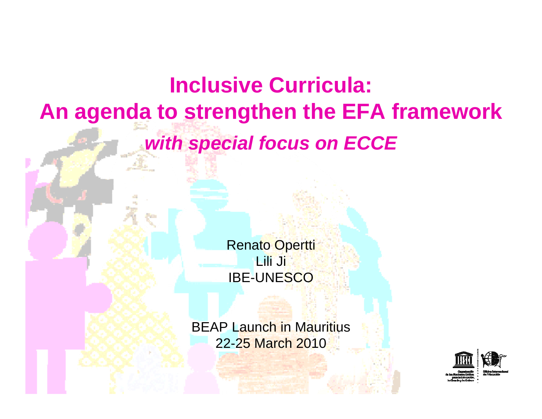## **Inclusive Curricula: An agenda to strengthen the EFA framework** *with special focus on ECCE*

**Renato Opertti** Lili Ji IBE-UNESCO

**BEAP Launch in Mauritius** 22-25 March 2010

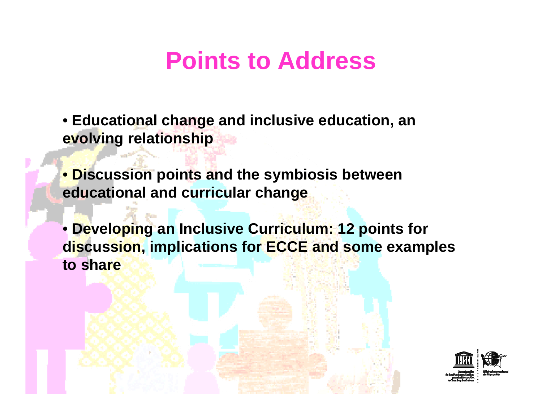## **Points to Address**

• **Educational change and inclusive education, an evolving relationship**

• **Discussion points and the symbiosis between educational and curricular change**

• **Developing an Inclusive Curriculum: 12 points for discussion, implications for ECCE and some examples to share**

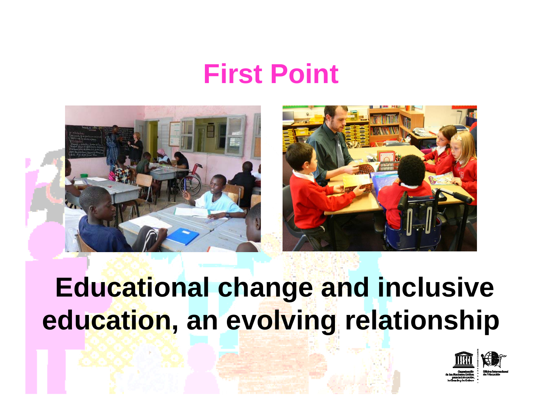## **First Point**





# **Educational change and inclusive education, an evolving relationship**

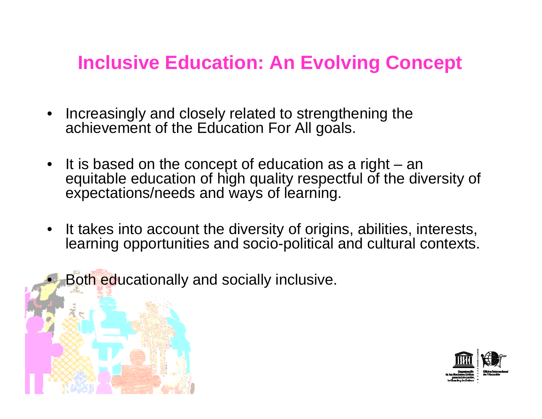#### **Inclusive Education: An Evolving Concept**

- • Increasingly and closely related to strengthening the achievement of the Education For All goals.
- It is based on the concept of education as a right an equitable education of high quality respectful of the diversity of expectations/needs and ways of learning.
- $\bullet$  It takes into account the diversity of origins, abilities, interests, learning opportunities and socio-political and cultural contexts.
	- Both educationally and socially inclusive.

•

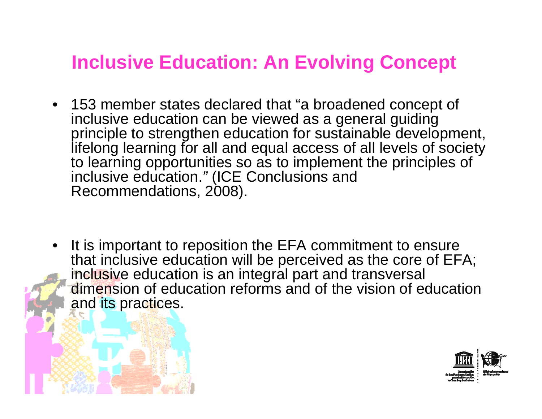#### **Inclusive Education: An Evolving Concept**

- 153 member states declared that "a broadened concept of inclusive education can be viewed as a general guiding principle to strengthen education for sustainable development, lifelong learning for all and equal access of all levels of society to learning opportunities so as to implement the principles of inclusive education. *"* (ICE Conclusions and Recommendations, 2008).
- $\bullet$  It is important to reposition the EFA commitment to ensure that inclusive education will be perceived as the core of EFA; inclusive education is an integral part and transversal dimension of education reforms and of the vision of education and its practices.

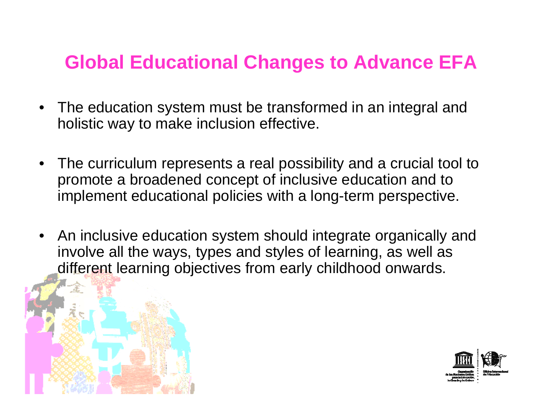#### **Global Educational Changes to Advance EFA**

- $\bullet$  The education system must be transformed in an integral and holistic way to make inclusion effective.
- The curriculum represents a real possibility and a crucial tool to promote a broadened concept of inclusive education and to implement educational policies with a long-term perspective.
- $\bullet$  An inclusive education system should integrate organically and involve all the ways, types and styles of learning, as well as different learning objectives from early childhood onwards.

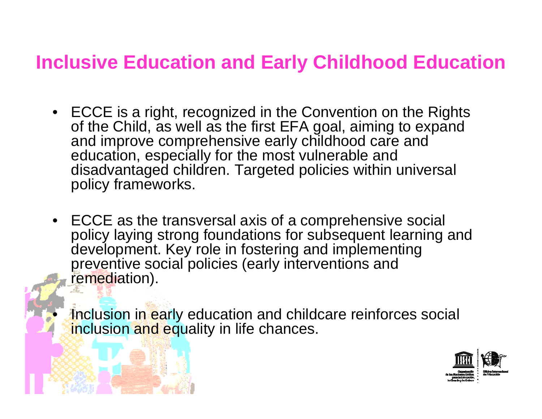#### **Inclusive Education and Early Childhood Education**

- ECCE is a right, recognized in the Convention on the Rights of the Child, as well as the first EFA goal, aiming to expand and improve comprehensive early childhood care and education, especially for the most vulnerable and disadvantaged children. Targeted policies within universal policy frameworks.
- ECCE as the transversal axis of a comprehensive social policy laying strong foundations for subsequent learning and development. Key role in fostering and implementing preventive social policies (early interventions and remediation).

Inclusion in early education and childcare reinforces social inclusion and equality in life chances.

•

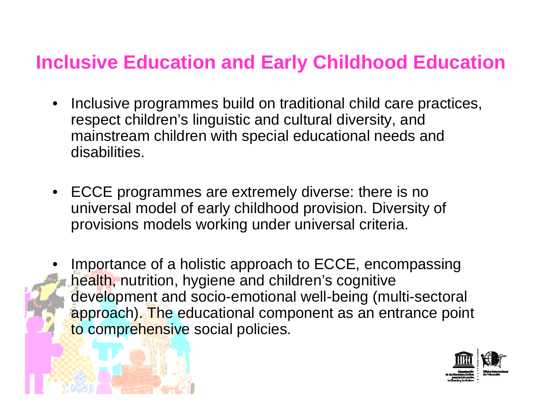#### **Inclusive Education and Early Childhood Education**

- $\bullet$  Inclusive programmes build on traditional child care practices, respect children's linguistic and cultural diversity, and mainstream children with special educational needs and disabilities.
- ECCE programmes are extremely diverse: there is no universal model of early childhood provision. Diversity of provisions models working under universal criteria.
- • Importance of a holistic approach to ECCE, encompassing health, nutrition, hygiene and children's cognitive development and socio-emotional well-being (multi-sectoral approach). The educational component as an entrance point to comprehensive social policies.

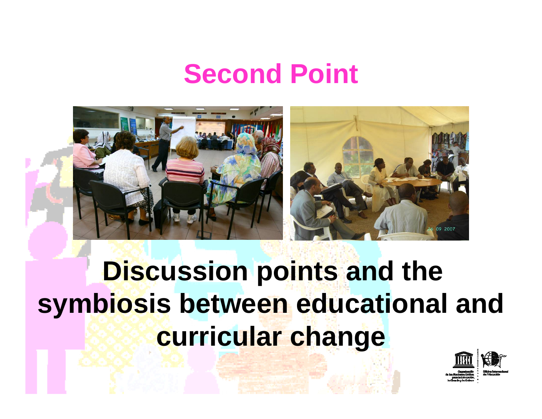## **Second Point**



# **Discussion points and the symbiosis between educational and curricular change**

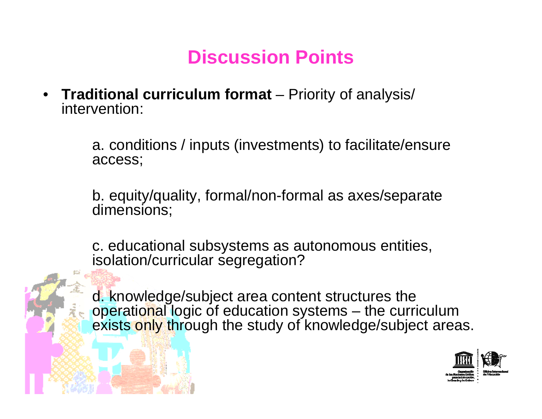### **Discussion Points**

• **Traditional curriculum format** – Priority of analysis/ intervention:

> a. conditions / inputs (investments) to facilitate/ensure access;

b. equity/quality, formal/non-formal as axes/separate dimensions;

c. educational subsystems as autonomous entities, isolation/curricular segregation?

d. knowledge/subject area content structures the operational logic of education systems – the curriculum exists only through the study of knowledge/subject areas.

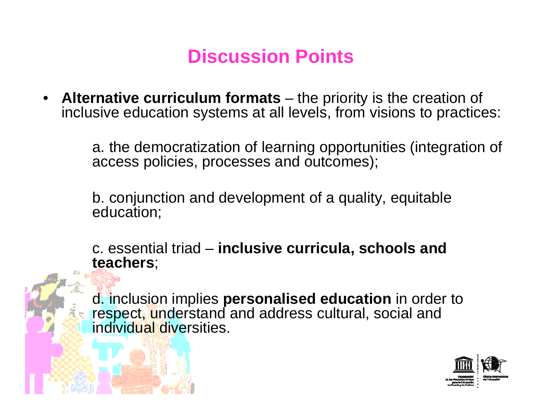## **Discussion Points**

• **Alternative curriculum formats** – the priority is the creation of inclusive education systems at all levels, from visions to practices:

> a. the democratization of learning opportunities (integration of access policies, processes and outcomes);

b. conjunction and development of a quality, equitable education;

c. essential triad – **inclusive curricula, schools and teachers**;

d. inclusion implies **personalised education** in order to respect, understand and address cultural, social and individual diversities.

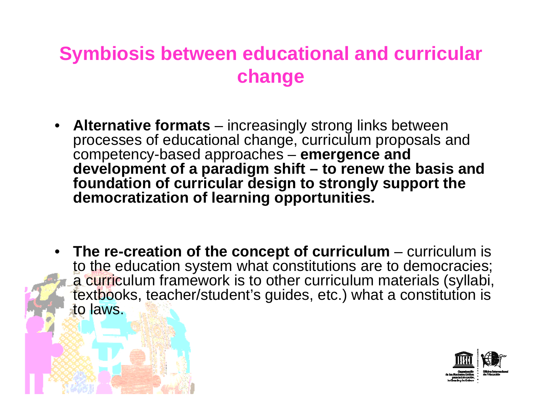#### **Symbiosis between educational and curricular change**

- • **Alternative formats** – increasingly strong links between processes of educational change, curriculum proposals and competency-based approaches – **emergence and development of a paradigm shift – to renew the basis and foundation of curricular design to strongly support the democratization of learning opportunities.**
- •**The re-creation of the concept of curriculum – curriculum is** to the education system what constitutions are to democracies; a curriculum framework is to other curriculum materials (syllabi, textbooks, teacher/student's guides, etc.) what a constitution is to laws.

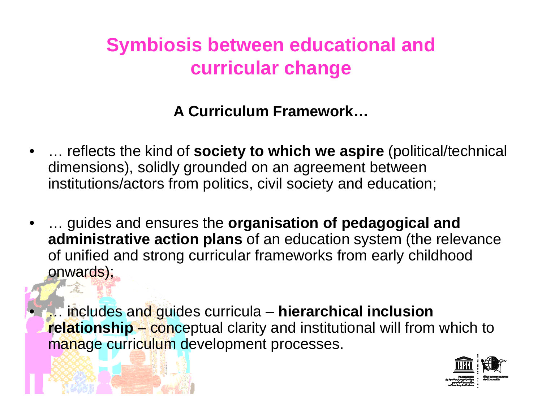## **Symbiosis between educational and curricular change**

#### **A Curriculum Framework…**

- • … reflects the kind of **society to which we aspire** (political/technical dimensions), solidly grounded on an agreement between institutions/actors from politics, civil society and education;
- • … guides and ensures the **organisation of pedagogical and administrative action plans** of an education system (the relevance of unified and strong curricular frameworks from early childhood onwards);

 … includes and guides curricula – **hierarchical inclusion relationship** – conceptual clarity and institutional will from which to manage curriculum development processes.

•

Æ

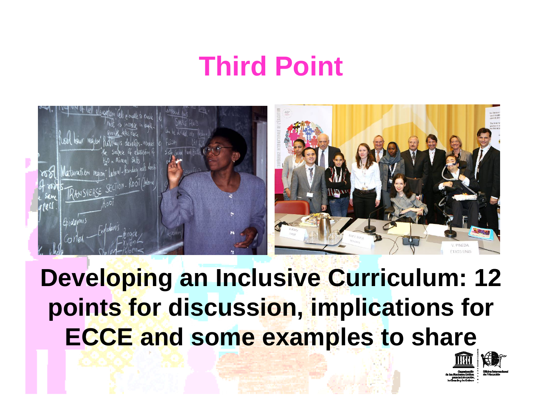# **Third Point**



**Developing an Inclusive Curriculum: 12 points for discussion, implications for ECCE and some examples to share**

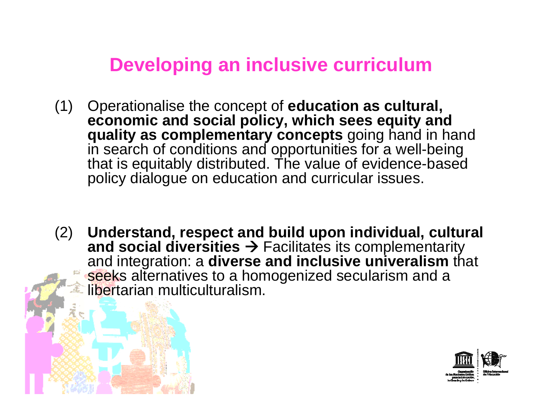- (1) Operationalise the concept of **education as cultural, economic and social policy, which sees equity and quality as complementary concepts** going hand in hand in search of conditions and opportunities for a well-being that is equitably distributed. The value of evidence-based policy dialogue on education and curricular issues.
- (2) **Understand, respect and build upon individual, cultural and social diversities**  $\rightarrow$  Facilitates its complementarity and integration: a **diverse and inclusive univeralism** that seeks alternatives to a homogenized secularism and a libertarian multiculturalism.

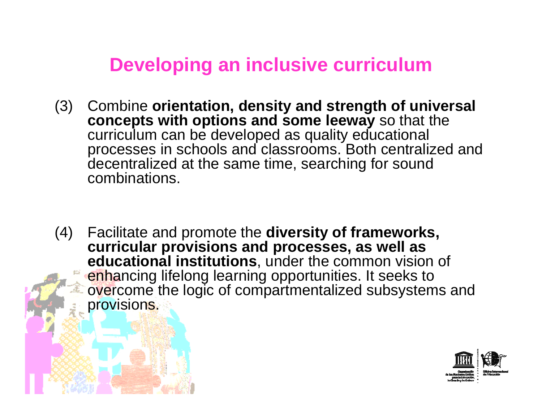- (3) Combine **orientation, density and strength of universal concepts with options and some leeway** so that the curriculum can be developed as quality educational processes in schools and classrooms. Both centralized and decentralized at the same time, searching for sound combinations.
- (4) Facilitate and promote the **diversity of frameworks, curricular provisions and processes, as well as educational institutions**, under the common vision of enhancing lifelong learning opportunities. It seeks to overcome the logic of compartmentalized subsystems and provisions.

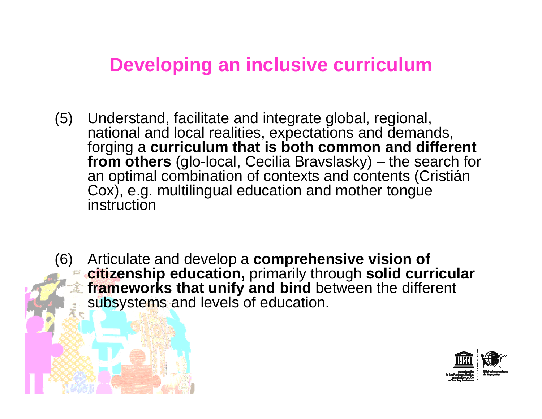- (5) Understand, facilitate and integrate global, regional, national and local realities, expectations and demands, forging a **curriculum that is both common and different from others** (glo-local, Cecilia Bravslasky) – the search for an optimal combination of contexts and contents (Cristián Cox), e.g. multilingual education and mother tongue instruction
- (6) Articulate and develop a **comprehensive vision of citizenship education,** primarily through **solid curricular frameworks that unify and bind** between the different  $\widehat{\,\,\mathcal{X}}$ subsystems and levels of education.

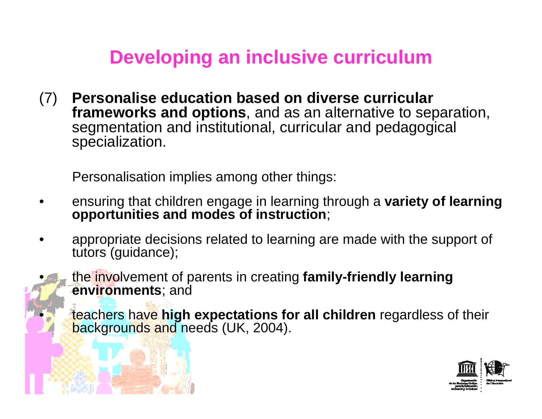(7) **Personalise education based on diverse curricular frameworks and options**, and as an alternative to separation, segmentation and institutional, curricular and pedagogical specialization.

Personalisation implies among other things:

•

•

- • ensuring that children engage in learning through a **variety of learning opportunities and modes of instruction**;
- • appropriate decisions related to learning are made with the support of tutors (guidance);



 teachers have **high expectations for all children** regardless of their backgrounds and needs (UK, 2004).

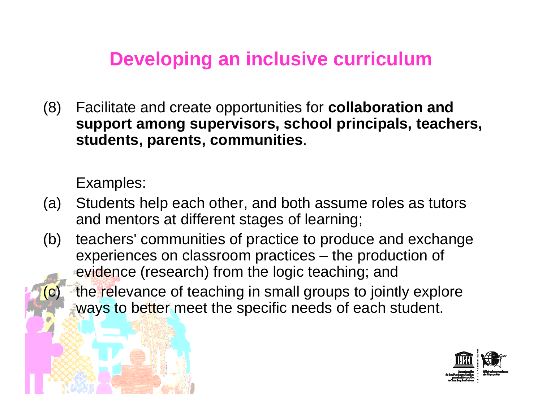(8) Facilitate and create opportunities for **collaboration and support among supervisors, school principals, teachers, students, parents, communities**.

Examples:

- (a) Students help each other, and both assume roles as tutors and mentors at different stages of learning;
- (b) teachers' communities of practice to produce and exchange experiences on classroom practices – the production of evidence (research) from the logic teaching; and
	- the relevance of teaching in small groups to jointly explore ways to better meet the specific needs of each student.

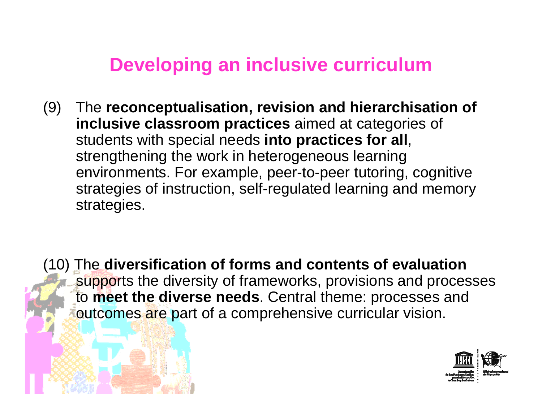(9) The **reconceptualisation, revision and hierarchisation of inclusive classroom practices** aimed at categories of students with special needs **into practices for all**, strengthening the work in heterogeneous learning environments. For example, peer-to-peer tutoring, cognitive strategies of instruction, self-regulated learning and memory strategies.

(10) The **diversification of forms and contents of evaluation** supports the diversity of frameworks, provisions and processes to **meet the diverse needs**. Central theme: processes and outcomes are part of a comprehensive curricular vision.

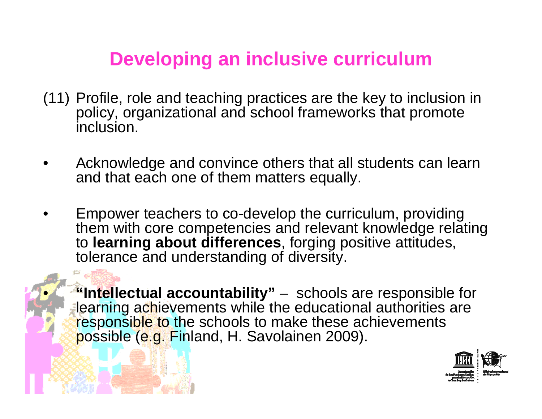- (11) Profile, role and teaching practices are the key to inclusion in policy, organizational and school frameworks that promote inclusion.
- • Acknowledge and convince others that all students can learn and that each one of them matters equally.
- • Empower teachers to co-develop the curriculum, providing them with core competencies and relevant knowledge relating to **learning about differences**, forging positive attitudes, tolerance and understanding of diversity.

 **"Intellectual accountability"** – schools are responsible for learning achievements while the educational authorities are responsible to the schools to make these achievements possible (e.g. Finland, H. Savolainen 2009).

•

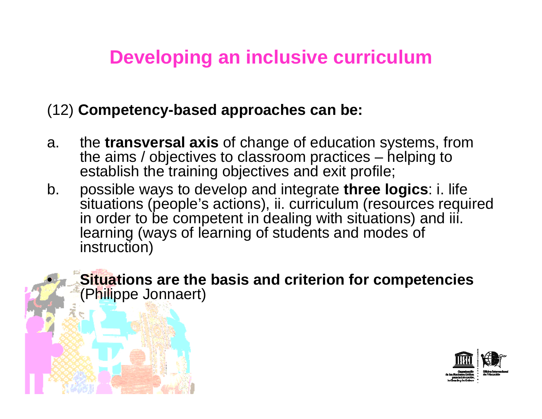#### (12) **Competency-based approaches can be:**

•

- a. the **transversal axis** of change of education systems, from the aims / objectives to classroom practices – helping to establish the training objectives and exit profile;
- b. possible ways to develop and integrate **three logics**: i. life situations (people's actions), ii. curriculum (resources required in order to be competent in dealing with situations) and iii. learning (ways of learning of students and modes of instruction)

 **Situations are the basis and criterion for competencies**  (Philippe Jonnaert)

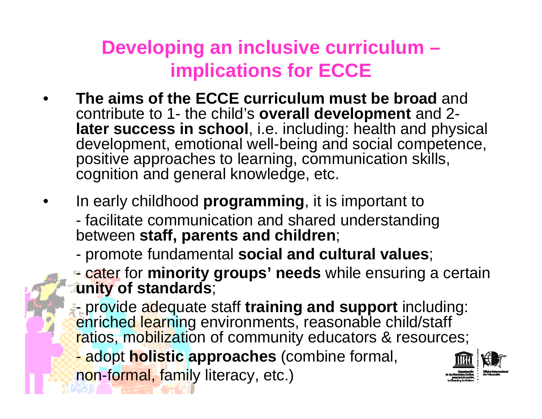## **Developing an inclusive curriculum – implications for ECCE**

- • **The aims of the ECCE curriculum must be broad** and contribute to 1- the child's **overall development** and 2 **later success in school**, i.e. including: health and physical development, emotional well-being and social competence, positive approaches to learning, communication skills, cognition and general knowledge, etc.
- • In early childhood **programming**, it is important to facilitate communication and shared understanding between **staff, parents and children**;
	- promote fundamental **social and cultural values**;
	- cater for **minority groups' needs** while ensuring a certain **unity of standards**;

 provide adequate staff **training and support** including: enriched learning environments, reasonable child/staff ratios, mobilization of community educators & resources;

adopt **holistic approaches** (combine formal,

non-formal, family literacy, etc.)

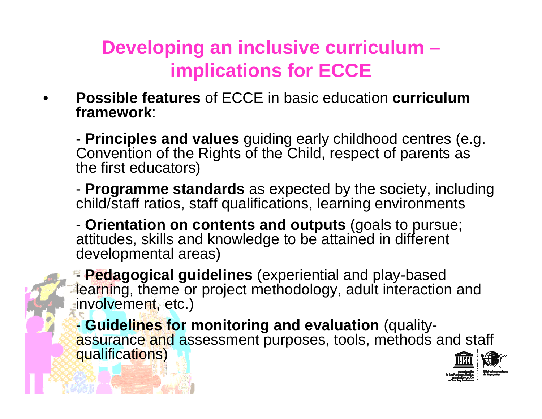## **Developing an inclusive curriculum – implications for ECCE**

• **Possible features** of ECCE in basic education **curriculum framework**:

- **Principles and values** guiding early childhood centres (e.g. Convention of the Rights of the Child, respect of parents as the first educators)

- **Programme standards** as expected by the society, including child/staff ratios, staff qualifications, learning environments

- **Orientation on contents and outputs** (goals to pursue; attitudes, skills and knowledge to be attained in different developmental areas)

- **Pedagogical guidelines** (experiential and play-based learning, theme or project methodology, adult interaction and involvement, etc.)

- **Guidelines for monitoring and evaluation** (qualityassurance and assessment purposes, tools, methods and staff qualifications)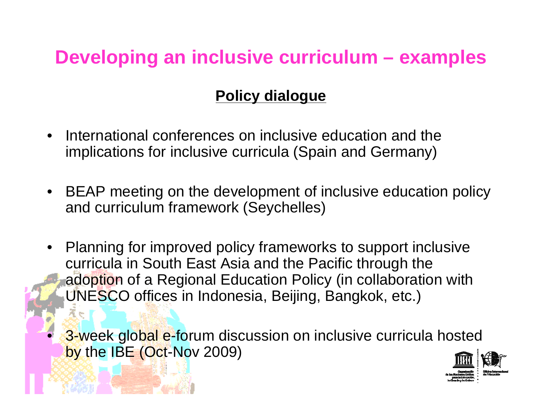#### **Developing an inclusive curriculum – examples**

#### **Policy dialogue**

- • International conferences on inclusive education and the implications for inclusive curricula (Spain and Germany)
- • BEAP meeting on the development of inclusive education policy and curriculum framework (Seychelles)
- • Planning for improved policy frameworks to support inclusive curricula in South East Asia and the Pacific through the adoption of a Regional Education Policy (in collaboration with UNESCO offices in Indonesia, Beijing, Bangkok, etc.)

3-week global e-forum discussion on inclusive curricula hosted by the IBE (Oct-Nov 2009)

•

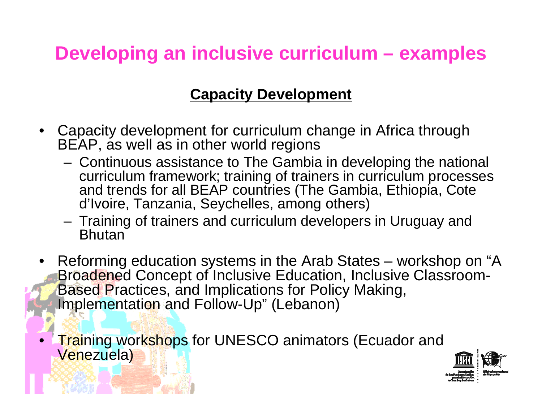### **Developing an inclusive curriculum – examples**

#### **Capacity Development**

- • Capacity development for curriculum change in Africa through BEAP, as well as in other world regions
	- **Links of the Company**  Continuous assistance to The Gambia in developing the national curriculum framework; training of trainers in curriculum processes and trends for all BEAP countries (The Gambia, Ethiopia, Cote d'Ivoire, Tanzania, Seychelles, among others)
	- Training of trainers and curriculum developers in Uruguay and **Bhutan**
- $\bullet$  Reforming education systems in the Arab States – workshop on "A Broadened Concept of Inclusive Education, Inclusive Classroom-Based Practices, and Implications for Policy Making, Implementation and Follow-Up" (Lebanon)
- •**Training workshops for UNESCO animators (Ecuador and** Venezuela)

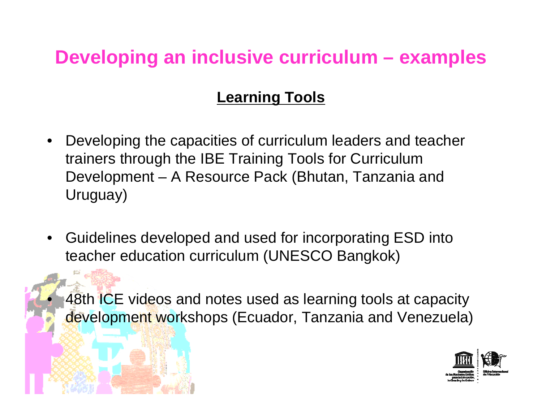#### **Developing an inclusive curriculum – examples**

#### **Learning Tools**

- Developing the capacities of curriculum leaders and teacher trainers through the IBE Training Tools for Curriculum Development – A Resource Pack (Bhutan, Tanzania and Uruguay)
- • Guidelines developed and used for incorporating ESD into teacher education curriculum (UNESCO Bangkok)

•

48th ICE videos and notes used as learning tools at capacity development workshops (Ecuador, Tanzania and Venezuela)